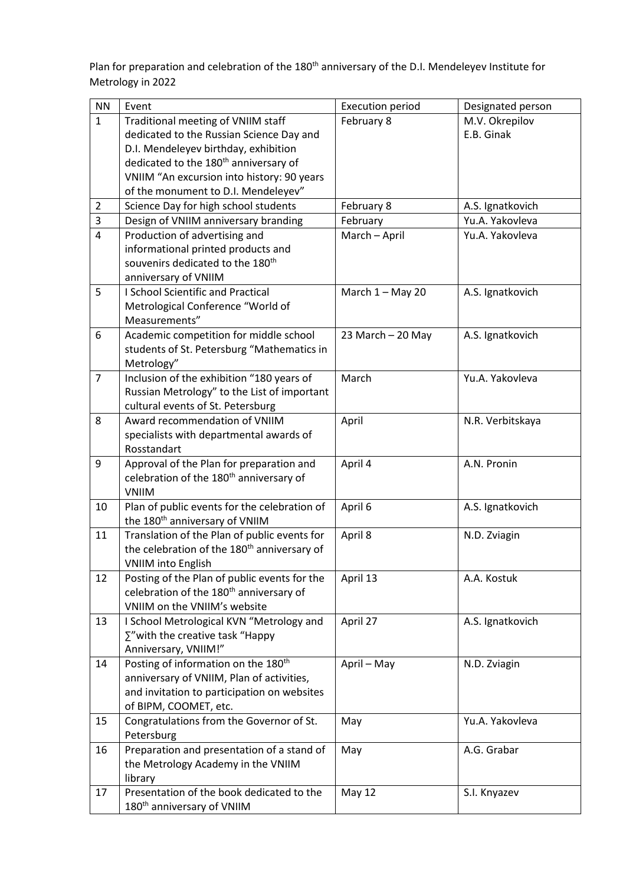Plan for preparation and celebration of the 180<sup>th</sup> anniversary of the D.I. Mendeleyev Institute for Metrology in 2022

| <b>NN</b>      | Event                                                                                           | <b>Execution period</b> | Designated person |
|----------------|-------------------------------------------------------------------------------------------------|-------------------------|-------------------|
| $\mathbf{1}$   | Traditional meeting of VNIIM staff                                                              | February 8              | M.V. Okrepilov    |
|                | dedicated to the Russian Science Day and                                                        |                         | E.B. Ginak        |
|                | D.I. Mendeleyev birthday, exhibition                                                            |                         |                   |
|                | dedicated to the 180 <sup>th</sup> anniversary of                                               |                         |                   |
|                | VNIIM "An excursion into history: 90 years                                                      |                         |                   |
|                | of the monument to D.I. Mendeleyev"                                                             |                         |                   |
| $\overline{2}$ | Science Day for high school students                                                            | February 8              | A.S. Ignatkovich  |
| 3              | Design of VNIIM anniversary branding                                                            | February                | Yu.A. Yakovleva   |
| $\overline{4}$ | Production of advertising and                                                                   | March - April           | Yu.A. Yakovleva   |
|                | informational printed products and                                                              |                         |                   |
|                | souvenirs dedicated to the 180 <sup>th</sup>                                                    |                         |                   |
|                | anniversary of VNIIM                                                                            |                         |                   |
| 5              | <b>I School Scientific and Practical</b>                                                        | March 1 - May 20        | A.S. Ignatkovich  |
|                | Metrological Conference "World of                                                               |                         |                   |
|                | Measurements"                                                                                   |                         |                   |
| 6              | Academic competition for middle school                                                          | 23 March - 20 May       | A.S. Ignatkovich  |
|                | students of St. Petersburg "Mathematics in                                                      |                         |                   |
|                | Metrology"                                                                                      |                         |                   |
| $\overline{7}$ | Inclusion of the exhibition "180 years of                                                       | March                   | Yu.A. Yakovleva   |
|                | Russian Metrology" to the List of important                                                     |                         |                   |
|                | cultural events of St. Petersburg                                                               |                         |                   |
| 8              | Award recommendation of VNIIM                                                                   | April                   | N.R. Verbitskaya  |
|                | specialists with departmental awards of<br>Rosstandart                                          |                         |                   |
| 9              |                                                                                                 | April 4                 | A.N. Pronin       |
|                | Approval of the Plan for preparation and<br>celebration of the 180 <sup>th</sup> anniversary of |                         |                   |
|                | <b>VNIIM</b>                                                                                    |                         |                   |
| 10             | Plan of public events for the celebration of                                                    | April 6                 | A.S. Ignatkovich  |
|                | the 180 <sup>th</sup> anniversary of VNIIM                                                      |                         |                   |
| 11             | Translation of the Plan of public events for                                                    | April 8                 | N.D. Zviagin      |
|                | the celebration of the 180 <sup>th</sup> anniversary of                                         |                         |                   |
|                | <b>VNIIM into English</b>                                                                       |                         |                   |
| 12             | Posting of the Plan of public events for the                                                    | April 13                | A.A. Kostuk       |
|                | celebration of the 180 <sup>th</sup> anniversary of                                             |                         |                   |
|                | VNIIM on the VNIIM's website                                                                    |                         |                   |
| 13             | I School Metrological KVN "Metrology and                                                        | April 27                | A.S. Ignatkovich  |
|                | $\Sigma$ "with the creative task "Happy                                                         |                         |                   |
|                | Anniversary, VNIIM!"                                                                            |                         |                   |
| 14             | Posting of information on the 180 <sup>th</sup>                                                 | April - May             | N.D. Zviagin      |
|                | anniversary of VNIIM, Plan of activities,                                                       |                         |                   |
|                | and invitation to participation on websites                                                     |                         |                   |
|                | of BIPM, COOMET, etc.                                                                           |                         |                   |
| 15             | Congratulations from the Governor of St.                                                        | May                     | Yu.A. Yakovleva   |
|                | Petersburg                                                                                      |                         |                   |
| 16             | Preparation and presentation of a stand of                                                      | May                     | A.G. Grabar       |
|                | the Metrology Academy in the VNIIM                                                              |                         |                   |
|                | library                                                                                         |                         |                   |
| 17             | Presentation of the book dedicated to the                                                       | <b>May 12</b>           | S.I. Knyazev      |
|                | 180 <sup>th</sup> anniversary of VNIIM                                                          |                         |                   |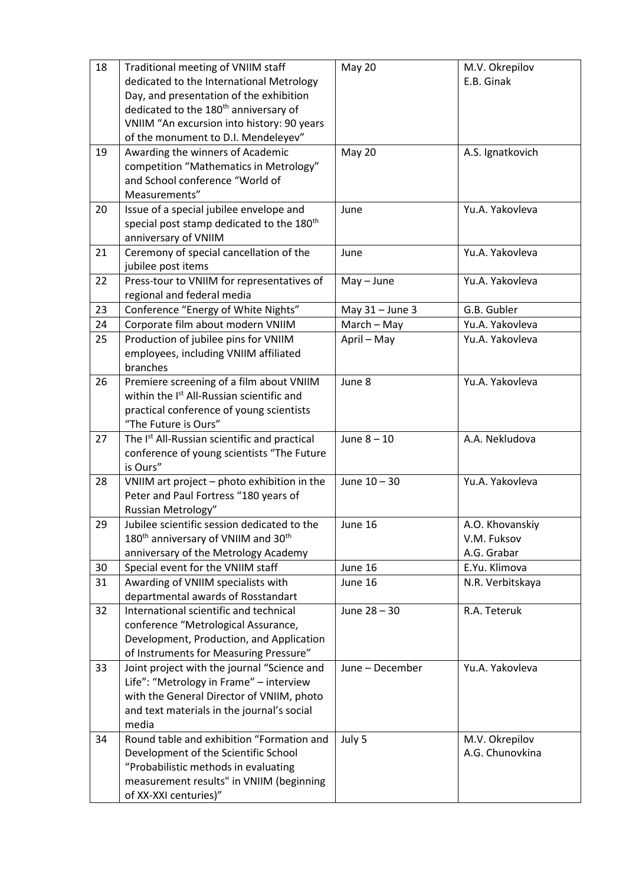| 18 | Traditional meeting of VNIIM staff<br>dedicated to the International Metrology<br>Day, and presentation of the exhibition | May 20          | M.V. Okrepilov<br>E.B. Ginak |
|----|---------------------------------------------------------------------------------------------------------------------------|-----------------|------------------------------|
|    | dedicated to the 180 <sup>th</sup> anniversary of<br>VNIIM "An excursion into history: 90 years                           |                 |                              |
|    | of the monument to D.I. Mendeleyev"                                                                                       |                 |                              |
| 19 | Awarding the winners of Academic                                                                                          | May 20          | A.S. Ignatkovich             |
|    | competition "Mathematics in Metrology"                                                                                    |                 |                              |
|    | and School conference "World of<br>Measurements"                                                                          |                 |                              |
|    |                                                                                                                           | June            | Yu.A. Yakovleva              |
| 20 | Issue of a special jubilee envelope and<br>special post stamp dedicated to the 180 <sup>th</sup>                          |                 |                              |
|    | anniversary of VNIIM                                                                                                      |                 |                              |
| 21 | Ceremony of special cancellation of the                                                                                   | June            | Yu.A. Yakovleva              |
|    | jubilee post items                                                                                                        |                 |                              |
| 22 | Press-tour to VNIIM for representatives of                                                                                | $May - June$    | Yu.A. Yakovleva              |
|    | regional and federal media                                                                                                |                 |                              |
| 23 | Conference "Energy of White Nights"                                                                                       | May 31 - June 3 | G.B. Gubler                  |
| 24 | Corporate film about modern VNIIM                                                                                         | March - May     | Yu.A. Yakovleva              |
| 25 | Production of jubilee pins for VNIIM                                                                                      | April - May     | Yu.A. Yakovleva              |
|    | employees, including VNIIM affiliated                                                                                     |                 |                              |
|    | branches                                                                                                                  |                 |                              |
| 26 | Premiere screening of a film about VNIIM                                                                                  | June 8          | Yu.A. Yakovleva              |
|    | within the I <sup>st</sup> All-Russian scientific and                                                                     |                 |                              |
|    | practical conference of young scientists                                                                                  |                 |                              |
|    | "The Future is Ours"                                                                                                      |                 |                              |
| 27 | The Ist All-Russian scientific and practical                                                                              | June $8 - 10$   | A.A. Nekludova               |
|    | conference of young scientists "The Future                                                                                |                 |                              |
|    | is Ours"                                                                                                                  |                 |                              |
| 28 | VNIIM art project - photo exhibition in the                                                                               | June 10 - 30    | Yu.A. Yakovleva              |
|    | Peter and Paul Fortress "180 years of                                                                                     |                 |                              |
|    | Russian Metrology"                                                                                                        |                 |                              |
| 29 | Jubilee scientific session dedicated to the                                                                               | June 16         | A.O. Khovanskiy              |
|    | 180 <sup>th</sup> anniversary of VNIIM and 30 <sup>th</sup>                                                               |                 | V.M. Fuksov                  |
|    | anniversary of the Metrology Academy                                                                                      |                 | A.G. Grabar                  |
| 30 | Special event for the VNIIM staff                                                                                         | June 16         | E.Yu. Klimova                |
| 31 | Awarding of VNIIM specialists with                                                                                        | June 16         | N.R. Verbitskaya             |
|    | departmental awards of Rosstandart                                                                                        |                 |                              |
| 32 | International scientific and technical                                                                                    | June 28 - 30    | R.A. Teteruk                 |
|    | conference "Metrological Assurance,                                                                                       |                 |                              |
|    | Development, Production, and Application                                                                                  |                 |                              |
|    | of Instruments for Measuring Pressure"                                                                                    |                 |                              |
| 33 | Joint project with the journal "Science and                                                                               | June - December | Yu.A. Yakovleva              |
|    | Life": "Metrology in Frame" - interview                                                                                   |                 |                              |
|    | with the General Director of VNIIM, photo                                                                                 |                 |                              |
|    | and text materials in the journal's social<br>media                                                                       |                 |                              |
| 34 | Round table and exhibition "Formation and                                                                                 | July 5          | M.V. Okrepilov               |
|    | Development of the Scientific School                                                                                      |                 | A.G. Chunovkina              |
|    | "Probabilistic methods in evaluating                                                                                      |                 |                              |
|    | measurement results" in VNIIM (beginning                                                                                  |                 |                              |
|    | of XX-XXI centuries)"                                                                                                     |                 |                              |